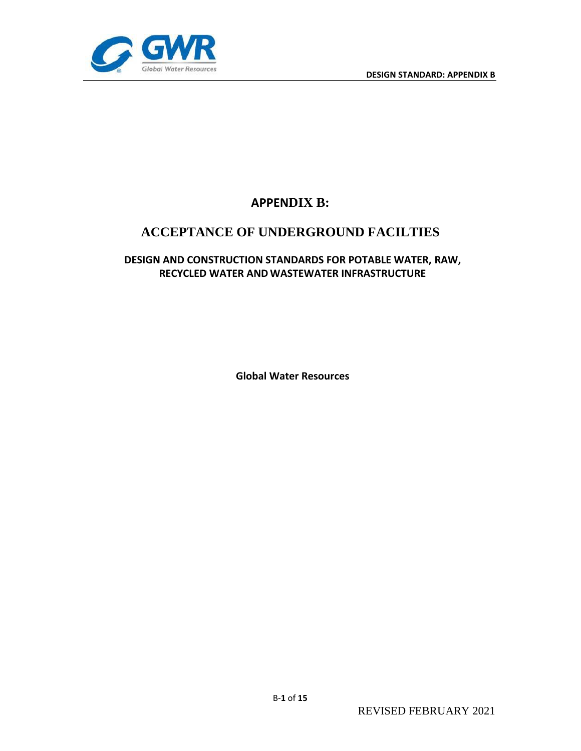

# **APPENDIX B:**

# **ACCEPTANCE OF UNDERGROUND FACILTIES**

# **DESIGN AND CONSTRUCTION STANDARDS FOR POTABLE WATER, RAW, RECYCLED WATER AND WASTEWATER INFRASTRUCTURE**

**Global Water Resources**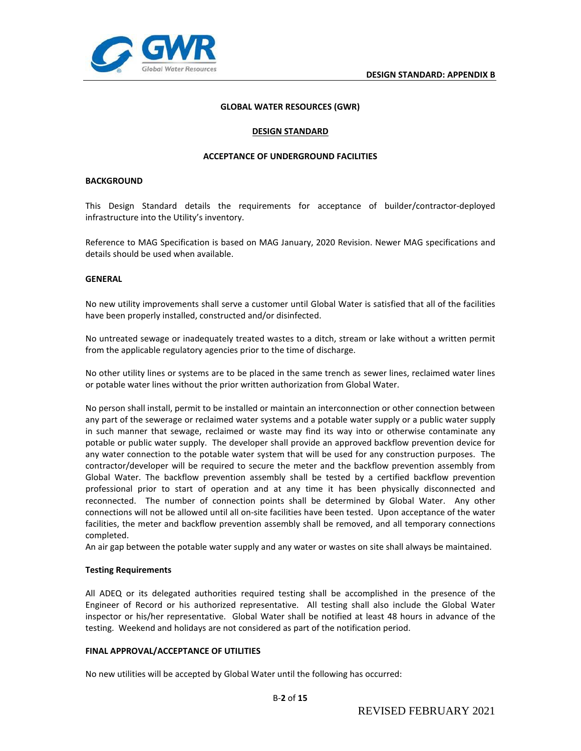

#### **GLOBAL WATER RESOURCES (GWR)**

#### **DESIGN STANDARD**

#### **ACCEPTANCE OF UNDERGROUND FACILITIES**

#### **BACKGROUND**

This Design Standard details the requirements for acceptance of builder/contractor-deployed infrastructure into the Utility's inventory.

Reference to MAG Specification is based on MAG January, 2020 Revision. Newer MAG specifications and details should be used when available.

#### **GENERAL**

No new utility improvements shall serve a customer until Global Water is satisfied that all of the facilities have been properly installed, constructed and/or disinfected.

No untreated sewage or inadequately treated wastes to a ditch, stream or lake without a written permit from the applicable regulatory agencies prior to the time of discharge.

No other utility lines or systems are to be placed in the same trench as sewer lines, reclaimed water lines or potable water lines without the prior written authorization from Global Water.

No person shall install, permit to be installed or maintain an interconnection or other connection between any part of the sewerage or reclaimed water systems and a potable water supply or a public water supply in such manner that sewage, reclaimed or waste may find its way into or otherwise contaminate any potable or public water supply. The developer shall provide an approved backflow prevention device for any water connection to the potable water system that will be used for any construction purposes. The contractor/developer will be required to secure the meter and the backflow prevention assembly from Global Water. The backflow prevention assembly shall be tested by a certified backflow prevention professional prior to start of operation and at any time it has been physically disconnected and reconnected. The number of connection points shall be determined by Global Water. Any other connections will not be allowed until all on-site facilities have been tested. Upon acceptance of the water facilities, the meter and backflow prevention assembly shall be removed, and all temporary connections completed.

An air gap between the potable water supply and any water or wastes on site shall always be maintained.

#### **Testing Requirements**

All ADEQ or its delegated authorities required testing shall be accomplished in the presence of the Engineer of Record or his authorized representative. All testing shall also include the Global Water inspector or his/her representative. Global Water shall be notified at least 48 hours in advance of the testing. Weekend and holidays are not considered as part of the notification period.

#### **FINAL APPROVAL/ACCEPTANCE OF UTILITIES**

No new utilities will be accepted by Global Water until the following has occurred: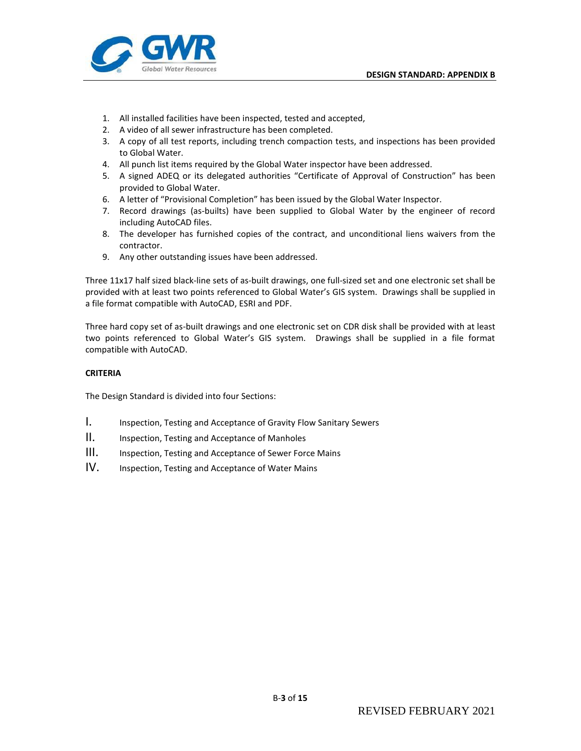

- 1. All installed facilities have been inspected, tested and accepted,
- 2. A video of all sewer infrastructure has been completed.
- 3. A copy of all test reports, including trench compaction tests, and inspections has been provided to Global Water.
- 4. All punch list items required by the Global Water inspector have been addressed.
- 5. A signed ADEQ or its delegated authorities "Certificate of Approval of Construction" has been provided to Global Water.
- 6. A letter of "Provisional Completion" has been issued by the Global Water Inspector.
- 7. Record drawings (as-builts) have been supplied to Global Water by the engineer of record including AutoCAD files.
- 8. The developer has furnished copies of the contract, and unconditional liens waivers from the contractor.
- 9. Any other outstanding issues have been addressed.

Three 11x17 half sized black-line sets of as-built drawings, one full-sized set and one electronic set shall be provided with at least two points referenced to Global Water's GIS system. Drawings shall be supplied in a file format compatible with AutoCAD, ESRI and PDF.

Three hard copy set of as-built drawings and one electronic set on CDR disk shall be provided with at least two points referenced to Global Water's GIS system. Drawings shall be supplied in a file format compatible with AutoCAD.

# **CRITERIA**

The Design Standard is divided into four Sections:

- 1. Inspection, Testing and Acceptance of Gravity Flow Sanitary Sewers
- II. Inspection, Testing and Acceptance of Manholes
- III. Inspection, Testing and Acceptance of Sewer Force Mains
- IV. Inspection, Testing and Acceptance of Water Mains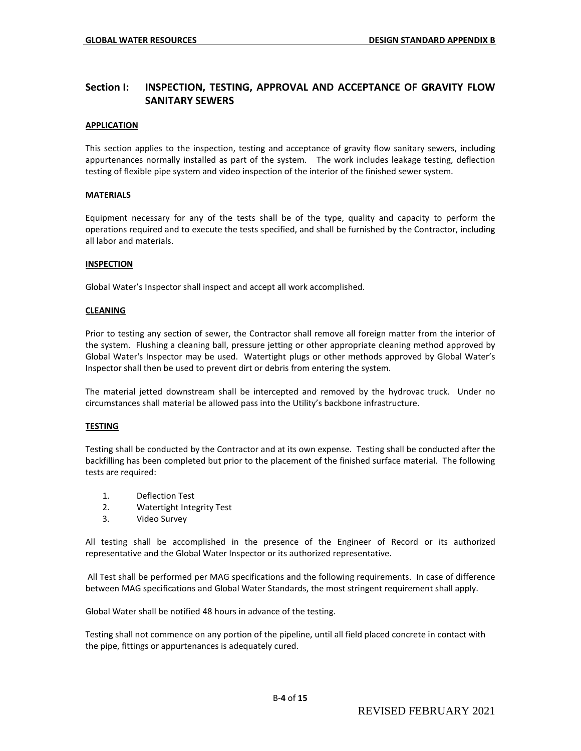# **Section I: INSPECTION, TESTING, APPROVAL AND ACCEPTANCE OF GRAVITY FLOW SANITARY SEWERS**

### **APPLICATION**

This section applies to the inspection, testing and acceptance of gravity flow sanitary sewers, including appurtenances normally installed as part of the system. The work includes leakage testing, deflection testing of flexible pipe system and video inspection of the interior of the finished sewer system.

#### **MATERIALS**

Equipment necessary for any of the tests shall be of the type, quality and capacity to perform the operations required and to execute the tests specified, and shall be furnished by the Contractor, including all labor and materials.

#### **INSPECTION**

Global Water's Inspector shall inspect and accept all work accomplished.

#### **CLEANING**

Prior to testing any section of sewer, the Contractor shall remove all foreign matter from the interior of the system. Flushing a cleaning ball, pressure jetting or other appropriate cleaning method approved by Global Water's Inspector may be used. Watertight plugs or other methods approved by Global Water's Inspector shall then be used to prevent dirt or debris from entering the system.

The material jetted downstream shall be intercepted and removed by the hydrovac truck. Under no circumstances shall material be allowed pass into the Utility's backbone infrastructure.

#### **TESTING**

Testing shall be conducted by the Contractor and at its own expense. Testing shall be conducted after the backfilling has been completed but prior to the placement of the finished surface material. The following tests are required:

- 1. Deflection Test
- 2. Watertight Integrity Test
- 3. Video Survey

All testing shall be accomplished in the presence of the Engineer of Record or its authorized representative and the Global Water Inspector or its authorized representative.

All Test shall be performed per MAG specifications and the following requirements. In case of difference between MAG specifications and Global Water Standards, the most stringent requirement shall apply.

Global Water shall be notified 48 hours in advance of the testing.

Testing shall not commence on any portion of the pipeline, until all field placed concrete in contact with the pipe, fittings or appurtenances is adequately cured.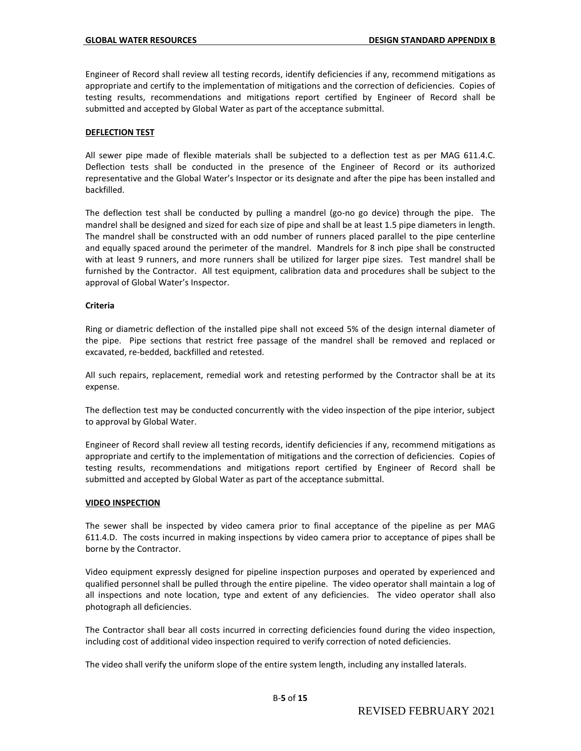Engineer of Record shall review all testing records, identify deficiencies if any, recommend mitigations as appropriate and certify to the implementation of mitigations and the correction of deficiencies. Copies of testing results, recommendations and mitigations report certified by Engineer of Record shall be submitted and accepted by Global Water as part of the acceptance submittal.

#### **DEFLECTION TEST**

All sewer pipe made of flexible materials shall be subjected to a deflection test as per MAG 611.4.C. Deflection tests shall be conducted in the presence of the Engineer of Record or its authorized representative and the Global Water's Inspector or its designate and after the pipe has been installed and backfilled.

The deflection test shall be conducted by pulling a mandrel (go-no go device) through the pipe. The mandrel shall be designed and sized for each size of pipe and shall be at least 1.5 pipe diameters in length. The mandrel shall be constructed with an odd number of runners placed parallel to the pipe centerline and equally spaced around the perimeter of the mandrel. Mandrels for 8 inch pipe shall be constructed with at least 9 runners, and more runners shall be utilized for larger pipe sizes. Test mandrel shall be furnished by the Contractor. All test equipment, calibration data and procedures shall be subject to the approval of Global Water's Inspector.

#### **Criteria**

Ring or diametric deflection of the installed pipe shall not exceed 5% of the design internal diameter of the pipe. Pipe sections that restrict free passage of the mandrel shall be removed and replaced or excavated, re-bedded, backfilled and retested.

All such repairs, replacement, remedial work and retesting performed by the Contractor shall be at its expense.

The deflection test may be conducted concurrently with the video inspection of the pipe interior, subject to approval by Global Water.

Engineer of Record shall review all testing records, identify deficiencies if any, recommend mitigations as appropriate and certify to the implementation of mitigations and the correction of deficiencies. Copies of testing results, recommendations and mitigations report certified by Engineer of Record shall be submitted and accepted by Global Water as part of the acceptance submittal.

#### **VIDEO INSPECTION**

The sewer shall be inspected by video camera prior to final acceptance of the pipeline as per MAG 611.4.D. The costs incurred in making inspections by video camera prior to acceptance of pipes shall be borne by the Contractor.

Video equipment expressly designed for pipeline inspection purposes and operated by experienced and qualified personnel shall be pulled through the entire pipeline. The video operator shall maintain a log of all inspections and note location, type and extent of any deficiencies. The video operator shall also photograph all deficiencies.

The Contractor shall bear all costs incurred in correcting deficiencies found during the video inspection, including cost of additional video inspection required to verify correction of noted deficiencies.

The video shall verify the uniform slope of the entire system length, including any installed laterals.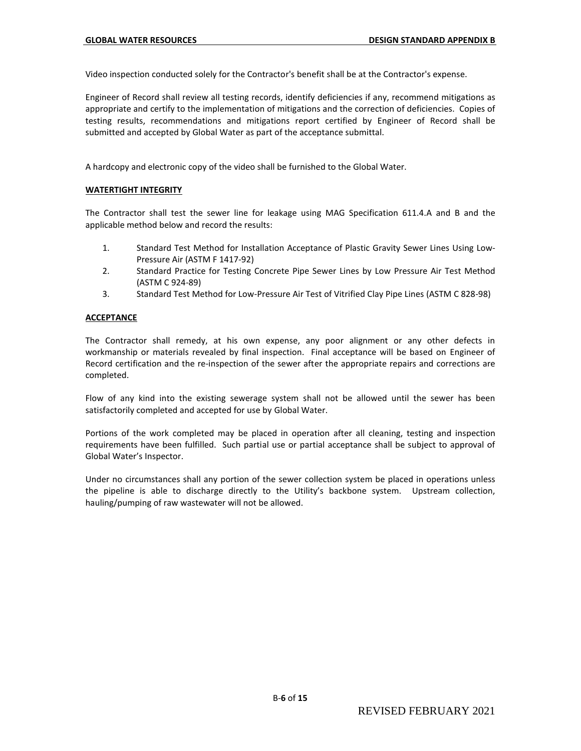Video inspection conducted solely for the Contractor's benefit shall be at the Contractor's expense.

Engineer of Record shall review all testing records, identify deficiencies if any, recommend mitigations as appropriate and certify to the implementation of mitigations and the correction of deficiencies. Copies of testing results, recommendations and mitigations report certified by Engineer of Record shall be submitted and accepted by Global Water as part of the acceptance submittal.

A hardcopy and electronic copy of the video shall be furnished to the Global Water.

#### **WATERTIGHT INTEGRITY**

The Contractor shall test the sewer line for leakage using MAG Specification 611.4.A and B and the applicable method below and record the results:

- 1. Standard Test Method for Installation Acceptance of Plastic Gravity Sewer Lines Using Low-Pressure Air (ASTM F 1417-92)
- 2. Standard Practice for Testing Concrete Pipe Sewer Lines by Low Pressure Air Test Method (ASTM C 924-89)
- 3. Standard Test Method for Low-Pressure Air Test of Vitrified Clay Pipe Lines (ASTM C 828-98)

#### **ACCEPTANCE**

The Contractor shall remedy, at his own expense, any poor alignment or any other defects in workmanship or materials revealed by final inspection. Final acceptance will be based on Engineer of Record certification and the re-inspection of the sewer after the appropriate repairs and corrections are completed.

Flow of any kind into the existing sewerage system shall not be allowed until the sewer has been satisfactorily completed and accepted for use by Global Water.

Portions of the work completed may be placed in operation after all cleaning, testing and inspection requirements have been fulfilled. Such partial use or partial acceptance shall be subject to approval of Global Water's Inspector.

Under no circumstances shall any portion of the sewer collection system be placed in operations unless the pipeline is able to discharge directly to the Utility's backbone system. Upstream collection, hauling/pumping of raw wastewater will not be allowed.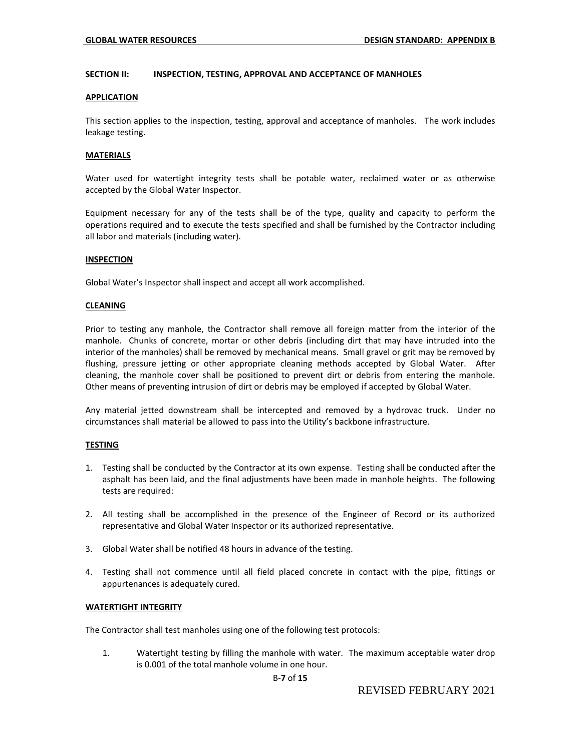#### **SECTION II: INSPECTION, TESTING, APPROVAL AND ACCEPTANCE OF MANHOLES**

#### **APPLICATION**

This section applies to the inspection, testing, approval and acceptance of manholes. The work includes leakage testing.

#### **MATERIALS**

Water used for watertight integrity tests shall be potable water, reclaimed water or as otherwise accepted by the Global Water Inspector.

Equipment necessary for any of the tests shall be of the type, quality and capacity to perform the operations required and to execute the tests specified and shall be furnished by the Contractor including all labor and materials (including water).

#### **INSPECTION**

Global Water's Inspector shall inspect and accept all work accomplished.

#### **CLEANING**

Prior to testing any manhole, the Contractor shall remove all foreign matter from the interior of the manhole. Chunks of concrete, mortar or other debris (including dirt that may have intruded into the interior of the manholes) shall be removed by mechanical means. Small gravel or grit may be removed by flushing, pressure jetting or other appropriate cleaning methods accepted by Global Water. After cleaning, the manhole cover shall be positioned to prevent dirt or debris from entering the manhole. Other means of preventing intrusion of dirt or debris may be employed if accepted by Global Water.

Any material jetted downstream shall be intercepted and removed by a hydrovac truck. Under no circumstances shall material be allowed to pass into the Utility's backbone infrastructure.

#### **TESTING**

- 1. Testing shall be conducted by the Contractor at its own expense. Testing shall be conducted after the asphalt has been laid, and the final adjustments have been made in manhole heights. The following tests are required:
- 2. All testing shall be accomplished in the presence of the Engineer of Record or its authorized representative and Global Water Inspector or its authorized representative.
- 3. Global Water shall be notified 48 hours in advance of the testing.
- 4. Testing shall not commence until all field placed concrete in contact with the pipe, fittings or appurtenances is adequately cured.

#### **WATERTIGHT INTEGRITY**

The Contractor shall test manholes using one of the following test protocols:

1. Watertight testing by filling the manhole with water. The maximum acceptable water drop is 0.001 of the total manhole volume in one hour.

#### B-**7** of **15**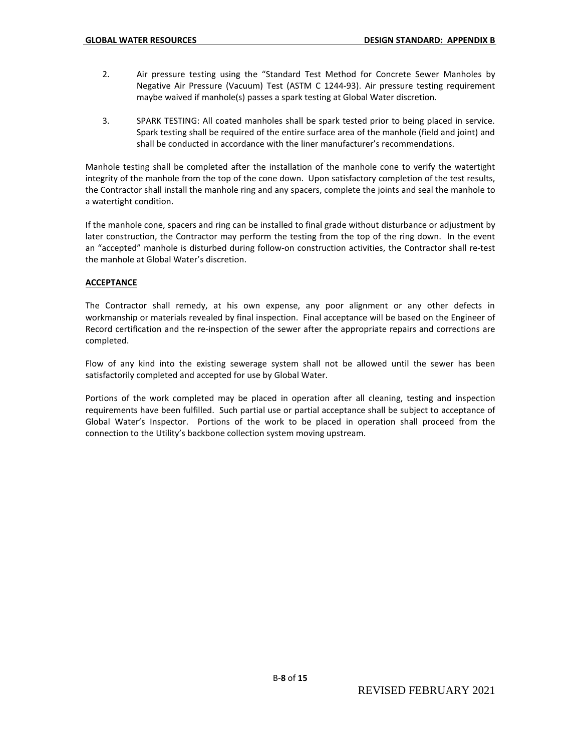- 2. Air pressure testing using the "Standard Test Method for Concrete Sewer Manholes by Negative Air Pressure (Vacuum) Test (ASTM C 1244-93). Air pressure testing requirement maybe waived if manhole(s) passes a spark testing at Global Water discretion.
- 3. SPARK TESTING: All coated manholes shall be spark tested prior to being placed in service. Spark testing shall be required of the entire surface area of the manhole (field and joint) and shall be conducted in accordance with the liner manufacturer's recommendations.

Manhole testing shall be completed after the installation of the manhole cone to verify the watertight integrity of the manhole from the top of the cone down. Upon satisfactory completion of the test results, the Contractor shall install the manhole ring and any spacers, complete the joints and seal the manhole to a watertight condition.

If the manhole cone, spacers and ring can be installed to final grade without disturbance or adjustment by later construction, the Contractor may perform the testing from the top of the ring down. In the event an "accepted" manhole is disturbed during follow-on construction activities, the Contractor shall re-test the manhole at Global Water's discretion.

# **ACCEPTANCE**

The Contractor shall remedy, at his own expense, any poor alignment or any other defects in workmanship or materials revealed by final inspection. Final acceptance will be based on the Engineer of Record certification and the re-inspection of the sewer after the appropriate repairs and corrections are completed.

Flow of any kind into the existing sewerage system shall not be allowed until the sewer has been satisfactorily completed and accepted for use by Global Water.

Portions of the work completed may be placed in operation after all cleaning, testing and inspection requirements have been fulfilled. Such partial use or partial acceptance shall be subject to acceptance of Global Water's Inspector. Portions of the work to be placed in operation shall proceed from the connection to the Utility's backbone collection system moving upstream.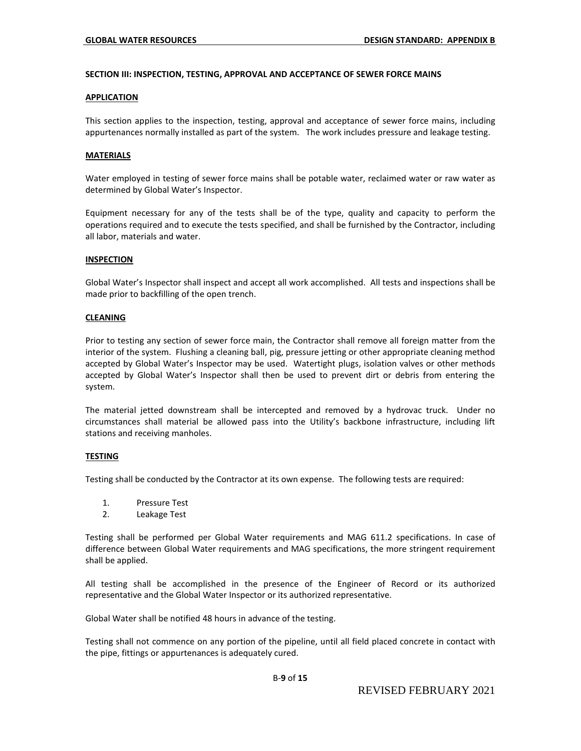#### **SECTION III: INSPECTION, TESTING, APPROVAL AND ACCEPTANCE OF SEWER FORCE MAINS**

#### **APPLICATION**

This section applies to the inspection, testing, approval and acceptance of sewer force mains, including appurtenances normally installed as part of the system. The work includes pressure and leakage testing.

#### **MATERIALS**

Water employed in testing of sewer force mains shall be potable water, reclaimed water or raw water as determined by Global Water's Inspector.

Equipment necessary for any of the tests shall be of the type, quality and capacity to perform the operations required and to execute the tests specified, and shall be furnished by the Contractor, including all labor, materials and water.

#### **INSPECTION**

Global Water's Inspector shall inspect and accept all work accomplished. All tests and inspections shall be made prior to backfilling of the open trench.

#### **CLEANING**

Prior to testing any section of sewer force main, the Contractor shall remove all foreign matter from the interior of the system. Flushing a cleaning ball, pig, pressure jetting or other appropriate cleaning method accepted by Global Water's Inspector may be used. Watertight plugs, isolation valves or other methods accepted by Global Water's Inspector shall then be used to prevent dirt or debris from entering the system.

The material jetted downstream shall be intercepted and removed by a hydrovac truck. Under no circumstances shall material be allowed pass into the Utility's backbone infrastructure, including lift stations and receiving manholes.

# **TESTING**

Testing shall be conducted by the Contractor at its own expense. The following tests are required:

- 1. Pressure Test
- 2. Leakage Test

Testing shall be performed per Global Water requirements and MAG 611.2 specifications. In case of difference between Global Water requirements and MAG specifications, the more stringent requirement shall be applied.

All testing shall be accomplished in the presence of the Engineer of Record or its authorized representative and the Global Water Inspector or its authorized representative.

Global Water shall be notified 48 hours in advance of the testing.

Testing shall not commence on any portion of the pipeline, until all field placed concrete in contact with the pipe, fittings or appurtenances is adequately cured.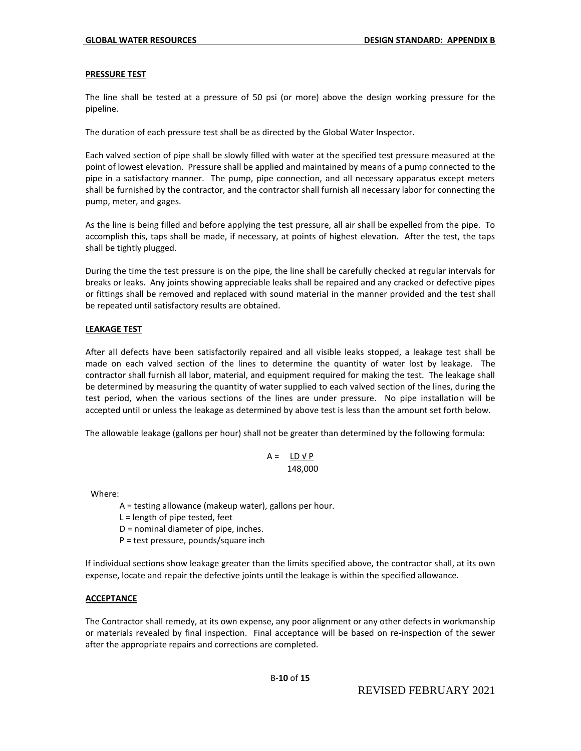#### **PRESSURE TEST**

The line shall be tested at a pressure of 50 psi (or more) above the design working pressure for the pipeline.

The duration of each pressure test shall be as directed by the Global Water Inspector.

Each valved section of pipe shall be slowly filled with water at the specified test pressure measured at the point of lowest elevation. Pressure shall be applied and maintained by means of a pump connected to the pipe in a satisfactory manner. The pump, pipe connection, and all necessary apparatus except meters shall be furnished by the contractor, and the contractor shall furnish all necessary labor for connecting the pump, meter, and gages.

As the line is being filled and before applying the test pressure, all air shall be expelled from the pipe. To accomplish this, taps shall be made, if necessary, at points of highest elevation. After the test, the taps shall be tightly plugged.

During the time the test pressure is on the pipe, the line shall be carefully checked at regular intervals for breaks or leaks. Any joints showing appreciable leaks shall be repaired and any cracked or defective pipes or fittings shall be removed and replaced with sound material in the manner provided and the test shall be repeated until satisfactory results are obtained.

# **LEAKAGE TEST**

After all defects have been satisfactorily repaired and all visible leaks stopped, a leakage test shall be made on each valved section of the lines to determine the quantity of water lost by leakage. The contractor shall furnish all labor, material, and equipment required for making the test. The leakage shall be determined by measuring the quantity of water supplied to each valved section of the lines, during the test period, when the various sections of the lines are under pressure. No pipe installation will be accepted until or unless the leakage as determined by above test is less than the amount set forth below.

The allowable leakage (gallons per hour) shall not be greater than determined by the following formula:

$$
A = \underline{LD \vee P}
$$
  
148,000

Where:

A = testing allowance (makeup water), gallons per hour.

 $L =$  length of pipe tested, feet

D = nominal diameter of pipe, inches.

P = test pressure, pounds/square inch

If individual sections show leakage greater than the limits specified above, the contractor shall, at its own expense, locate and repair the defective joints until the leakage is within the specified allowance.

# **ACCEPTANCE**

The Contractor shall remedy, at its own expense, any poor alignment or any other defects in workmanship or materials revealed by final inspection. Final acceptance will be based on re-inspection of the sewer after the appropriate repairs and corrections are completed.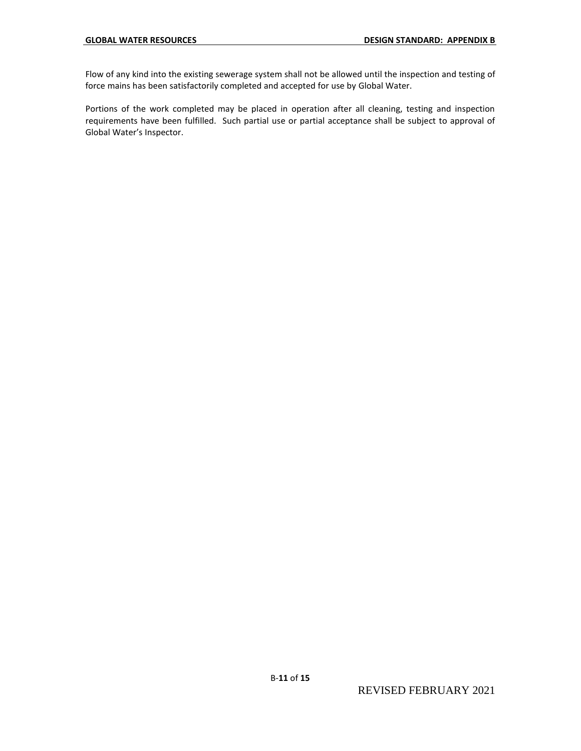Flow of any kind into the existing sewerage system shall not be allowed until the inspection and testing of force mains has been satisfactorily completed and accepted for use by Global Water.

Portions of the work completed may be placed in operation after all cleaning, testing and inspection requirements have been fulfilled. Such partial use or partial acceptance shall be subject to approval of Global Water's Inspector.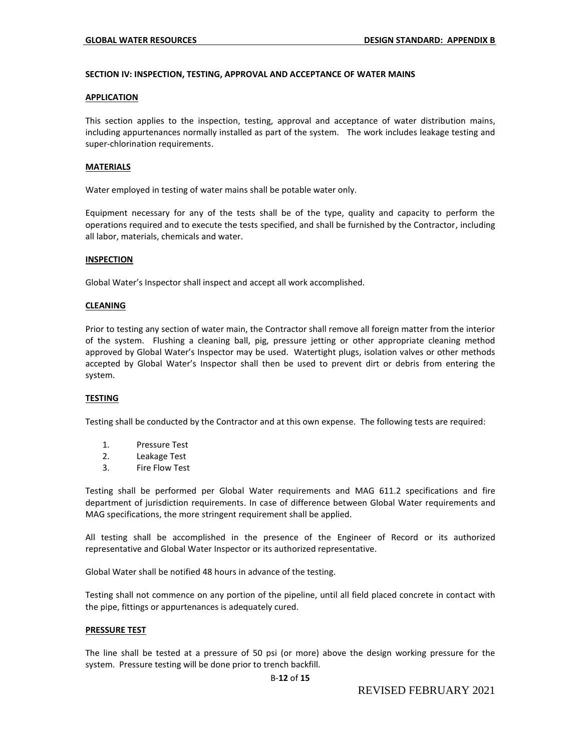#### **SECTION IV: INSPECTION, TESTING, APPROVAL AND ACCEPTANCE OF WATER MAINS**

#### **APPLICATION**

This section applies to the inspection, testing, approval and acceptance of water distribution mains, including appurtenances normally installed as part of the system. The work includes leakage testing and super-chlorination requirements.

### **MATERIALS**

Water employed in testing of water mains shall be potable water only.

Equipment necessary for any of the tests shall be of the type, quality and capacity to perform the operations required and to execute the tests specified, and shall be furnished by the Contractor, including all labor, materials, chemicals and water.

#### **INSPECTION**

Global Water's Inspector shall inspect and accept all work accomplished.

#### **CLEANING**

Prior to testing any section of water main, the Contractor shall remove all foreign matter from the interior of the system. Flushing a cleaning ball, pig, pressure jetting or other appropriate cleaning method approved by Global Water's Inspector may be used. Watertight plugs, isolation valves or other methods accepted by Global Water's Inspector shall then be used to prevent dirt or debris from entering the system.

# **TESTING**

Testing shall be conducted by the Contractor and at this own expense. The following tests are required:

- 1. Pressure Test
- 2. Leakage Test
- 3. Fire Flow Test

Testing shall be performed per Global Water requirements and MAG 611.2 specifications and fire department of jurisdiction requirements. In case of difference between Global Water requirements and MAG specifications, the more stringent requirement shall be applied.

All testing shall be accomplished in the presence of the Engineer of Record or its authorized representative and Global Water Inspector or its authorized representative.

Global Water shall be notified 48 hours in advance of the testing.

Testing shall not commence on any portion of the pipeline, until all field placed concrete in contact with the pipe, fittings or appurtenances is adequately cured.

#### **PRESSURE TEST**

The line shall be tested at a pressure of 50 psi (or more) above the design working pressure for the system. Pressure testing will be done prior to trench backfill.

#### B-**12** of **15**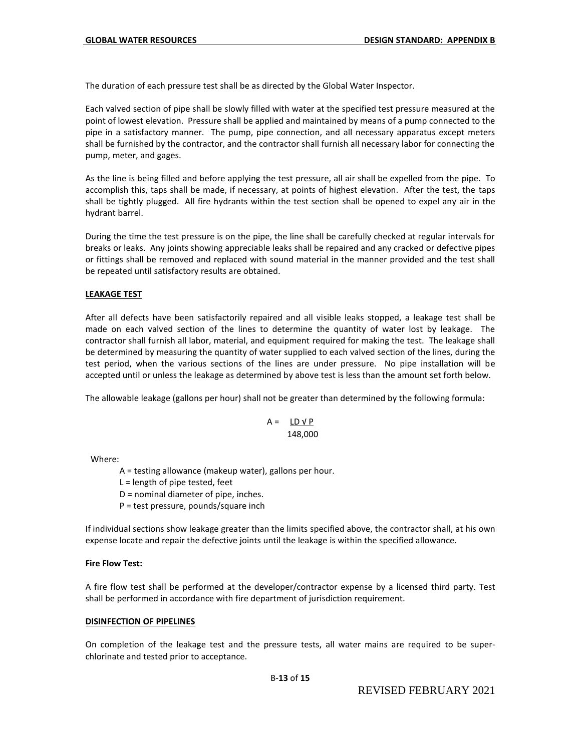The duration of each pressure test shall be as directed by the Global Water Inspector.

Each valved section of pipe shall be slowly filled with water at the specified test pressure measured at the point of lowest elevation. Pressure shall be applied and maintained by means of a pump connected to the pipe in a satisfactory manner. The pump, pipe connection, and all necessary apparatus except meters shall be furnished by the contractor, and the contractor shall furnish all necessary labor for connecting the pump, meter, and gages.

As the line is being filled and before applying the test pressure, all air shall be expelled from the pipe. To accomplish this, taps shall be made, if necessary, at points of highest elevation. After the test, the taps shall be tightly plugged. All fire hydrants within the test section shall be opened to expel any air in the hydrant barrel.

During the time the test pressure is on the pipe, the line shall be carefully checked at regular intervals for breaks or leaks. Any joints showing appreciable leaks shall be repaired and any cracked or defective pipes or fittings shall be removed and replaced with sound material in the manner provided and the test shall be repeated until satisfactory results are obtained.

# **LEAKAGE TEST**

After all defects have been satisfactorily repaired and all visible leaks stopped, a leakage test shall be made on each valved section of the lines to determine the quantity of water lost by leakage. The contractor shall furnish all labor, material, and equipment required for making the test. The leakage shall be determined by measuring the quantity of water supplied to each valved section of the lines, during the test period, when the various sections of the lines are under pressure. No pipe installation will be accepted until or unless the leakage as determined by above test is less than the amount set forth below.

The allowable leakage (gallons per hour) shall not be greater than determined by the following formula:

$$
A = \underline{LD \vee P}
$$
  
148,000

Where:

A = testing allowance (makeup water), gallons per hour.

 $L =$  length of pipe tested, feet

D = nominal diameter of pipe, inches.

P = test pressure, pounds/square inch

If individual sections show leakage greater than the limits specified above, the contractor shall, at his own expense locate and repair the defective joints until the leakage is within the specified allowance.

#### **Fire Flow Test:**

A fire flow test shall be performed at the developer/contractor expense by a licensed third party. Test shall be performed in accordance with fire department of jurisdiction requirement.

#### **DISINFECTION OF PIPELINES**

On completion of the leakage test and the pressure tests, all water mains are required to be superchlorinate and tested prior to acceptance.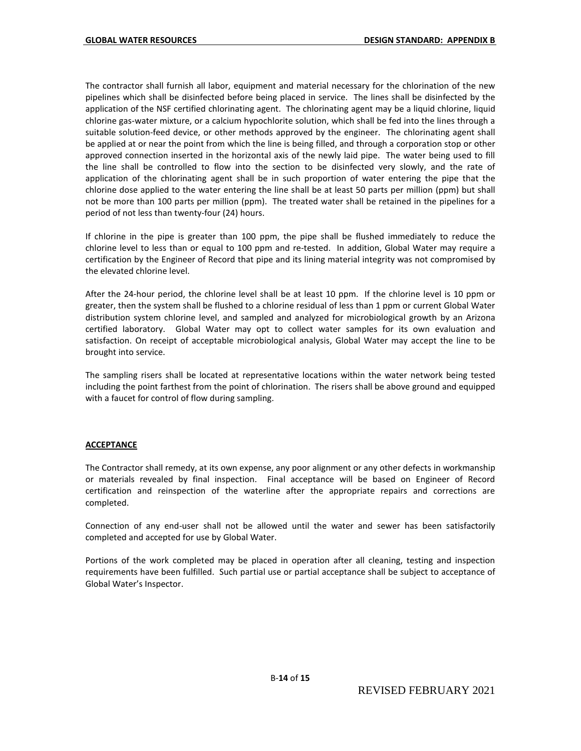The contractor shall furnish all labor, equipment and material necessary for the chlorination of the new pipelines which shall be disinfected before being placed in service. The lines shall be disinfected by the application of the NSF certified chlorinating agent. The chlorinating agent may be a liquid chlorine, liquid chlorine gas-water mixture, or a calcium hypochlorite solution, which shall be fed into the lines through a suitable solution-feed device, or other methods approved by the engineer. The chlorinating agent shall be applied at or near the point from which the line is being filled, and through a corporation stop or other approved connection inserted in the horizontal axis of the newly laid pipe. The water being used to fill the line shall be controlled to flow into the section to be disinfected very slowly, and the rate of application of the chlorinating agent shall be in such proportion of water entering the pipe that the chlorine dose applied to the water entering the line shall be at least 50 parts per million (ppm) but shall not be more than 100 parts per million (ppm). The treated water shall be retained in the pipelines for a period of not less than twenty-four (24) hours.

If chlorine in the pipe is greater than 100 ppm, the pipe shall be flushed immediately to reduce the chlorine level to less than or equal to 100 ppm and re-tested. In addition, Global Water may require a certification by the Engineer of Record that pipe and its lining material integrity was not compromised by the elevated chlorine level.

After the 24-hour period, the chlorine level shall be at least 10 ppm. If the chlorine level is 10 ppm or greater, then the system shall be flushed to a chlorine residual of less than 1 ppm or current Global Water distribution system chlorine level, and sampled and analyzed for microbiological growth by an Arizona certified laboratory. Global Water may opt to collect water samples for its own evaluation and satisfaction. On receipt of acceptable microbiological analysis, Global Water may accept the line to be brought into service.

The sampling risers shall be located at representative locations within the water network being tested including the point farthest from the point of chlorination. The risers shall be above ground and equipped with a faucet for control of flow during sampling.

#### **ACCEPTANCE**

The Contractor shall remedy, at its own expense, any poor alignment or any other defects in workmanship or materials revealed by final inspection. Final acceptance will be based on Engineer of Record certification and reinspection of the waterline after the appropriate repairs and corrections are completed.

Connection of any end-user shall not be allowed until the water and sewer has been satisfactorily completed and accepted for use by Global Water.

Portions of the work completed may be placed in operation after all cleaning, testing and inspection requirements have been fulfilled. Such partial use or partial acceptance shall be subject to acceptance of Global Water's Inspector.